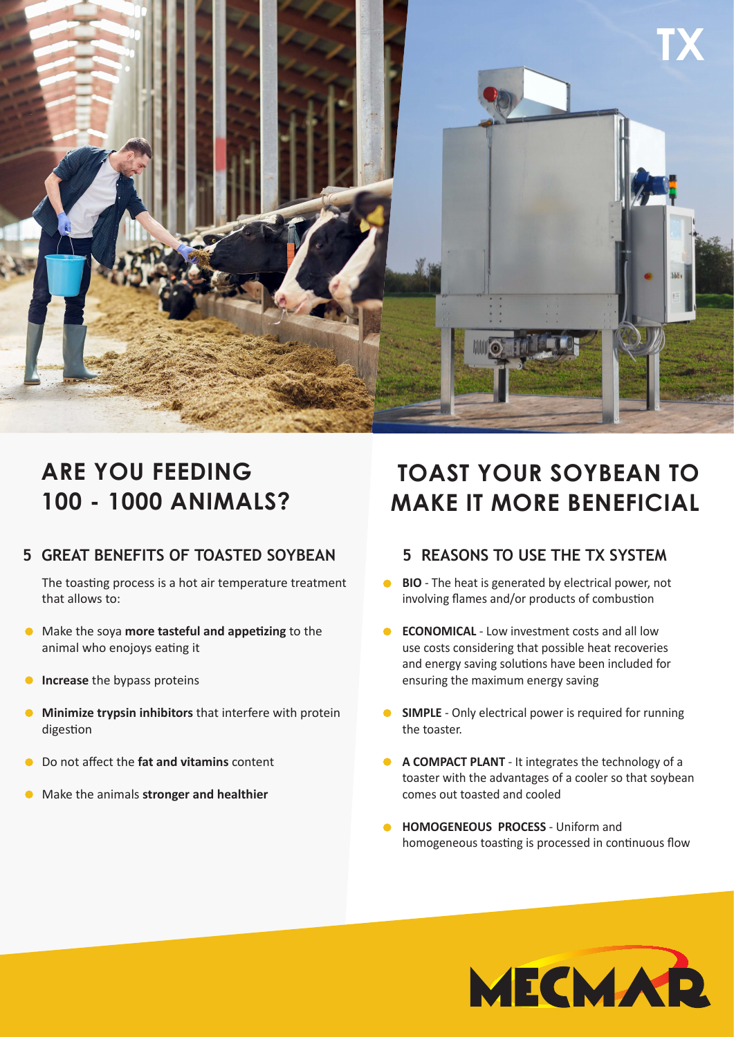

## **ARE YOU FEEDING 100 - 1000 ANIMALS?**

## **5 GREAT BENEFITS OF TOASTED SOYBEAN**

The toasting process is a hot air temperature treatment that allows to:

- Make the soya **more tasteful and appetizing** to the animal who enojoys eating it
- $\bullet$ **Increase** the bypass proteins
- **Minimize trypsin inhibitors** that interfere with protein  $\bullet$ digestion
- Do not affect the **fat and vitamins** content  $\bullet$
- Make the animals **stronger and healthier**

## **TOAST YOUR SOYBEAN TO MAKE IT MORE BENEFICIAL**

## **5 REASONS TO USE THE TX SYSTEM**

- **BIO** The heat is generated by electrical power, not  $\bullet$ involving flames and/or products of combustion
- **ECONOMICAL** Low investment costs and all low  $\bullet$ use costs considering that possible heat recoveries and energy saving solutions have been included for ensuring the maximum energy saving
- **SIMPLE** Only electrical power is required for running the toaster.
- **A COMPACT PLANT** It integrates the technology of a toaster with the advantages of a cooler so that soybean comes out toasted and cooled
- **HOMOGENEOUS PROCESS Uniform and** homogeneous toasting is processed in continuous flow